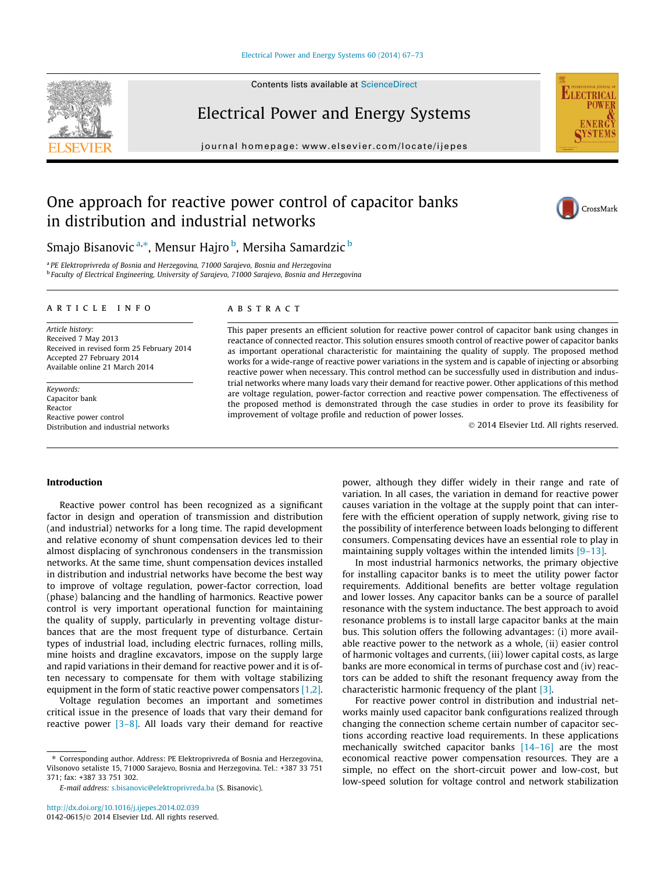#### [Electrical Power and Energy Systems 60 \(2014\) 67–73](http://dx.doi.org/10.1016/j.ijepes.2014.02.039)

Contents lists available at [ScienceDirect](http://www.sciencedirect.com/science/journal/01420615)



Electrical Power and Energy Systems

journal homepage: [www.elsevier.com/locate/ijepes](http://www.elsevier.com/locate/ijepes)

## One approach for reactive power control of capacitor banks in distribution and industrial networks



Smajo Bisanovic <sup>a,</sup>\*, Mensur Hajro <sup>b</sup>, Mersiha Samardzic <sup>b</sup>

<sup>a</sup> PE Elektroprivreda of Bosnia and Herzegovina, 71000 Sarajevo, Bosnia and Herzegovina <sup>b</sup> Faculty of Electrical Engineering, University of Sarajevo, 71000 Sarajevo, Bosnia and Herzegovina

#### article info

Article history: Received 7 May 2013 Received in revised form 25 February 2014 Accepted 27 February 2014 Available online 21 March 2014

Keywords: Capacitor bank Reactor Reactive power control Distribution and industrial networks

#### A B S T R A C T

This paper presents an efficient solution for reactive power control of capacitor bank using changes in reactance of connected reactor. This solution ensures smooth control of reactive power of capacitor banks as important operational characteristic for maintaining the quality of supply. The proposed method works for a wide-range of reactive power variations in the system and is capable of injecting or absorbing reactive power when necessary. This control method can be successfully used in distribution and industrial networks where many loads vary their demand for reactive power. Other applications of this method are voltage regulation, power-factor correction and reactive power compensation. The effectiveness of the proposed method is demonstrated through the case studies in order to prove its feasibility for improvement of voltage profile and reduction of power losses.

- 2014 Elsevier Ltd. All rights reserved.

#### Introduction

Reactive power control has been recognized as a significant factor in design and operation of transmission and distribution (and industrial) networks for a long time. The rapid development and relative economy of shunt compensation devices led to their almost displacing of synchronous condensers in the transmission networks. At the same time, shunt compensation devices installed in distribution and industrial networks have become the best way to improve of voltage regulation, power-factor correction, load (phase) balancing and the handling of harmonics. Reactive power control is very important operational function for maintaining the quality of supply, particularly in preventing voltage disturbances that are the most frequent type of disturbance. Certain types of industrial load, including electric furnaces, rolling mills, mine hoists and dragline excavators, impose on the supply large and rapid variations in their demand for reactive power and it is often necessary to compensate for them with voltage stabilizing equipment in the form of static reactive power compensators [\[1,2\].](#page--1-0)

Voltage regulation becomes an important and sometimes critical issue in the presence of loads that vary their demand for reactive power  $[3-8]$ . All loads vary their demand for reactive power, although they differ widely in their range and rate of variation. In all cases, the variation in demand for reactive power causes variation in the voltage at the supply point that can interfere with the efficient operation of supply network, giving rise to the possibility of interference between loads belonging to different consumers. Compensating devices have an essential role to play in maintaining supply voltages within the intended limits [\[9–13\].](#page--1-0)

In most industrial harmonics networks, the primary objective for installing capacitor banks is to meet the utility power factor requirements. Additional benefits are better voltage regulation and lower losses. Any capacitor banks can be a source of parallel resonance with the system inductance. The best approach to avoid resonance problems is to install large capacitor banks at the main bus. This solution offers the following advantages: (i) more available reactive power to the network as a whole, (ii) easier control of harmonic voltages and currents, (iii) lower capital costs, as large banks are more economical in terms of purchase cost and (iv) reactors can be added to shift the resonant frequency away from the characteristic harmonic frequency of the plant [\[3\].](#page--1-0)

For reactive power control in distribution and industrial networks mainly used capacitor bank configurations realized through changing the connection scheme certain number of capacitor sections according reactive load requirements. In these applications mechanically switched capacitor banks [\[14–16\]](#page--1-0) are the most economical reactive power compensation resources. They are a simple, no effect on the short-circuit power and low-cost, but low-speed solution for voltage control and network stabilization

<sup>⇑</sup> Corresponding author. Address: PE Elektroprivreda of Bosnia and Herzegovina, Vilsonovo setaliste 15, 71000 Sarajevo, Bosnia and Herzegovina. Tel.: +387 33 751 371; fax: +387 33 751 302.

E-mail address: [s.bisanovic@elektroprivreda.ba](mailto:s.bisanovic@elektroprivreda.ba) (S. Bisanovic).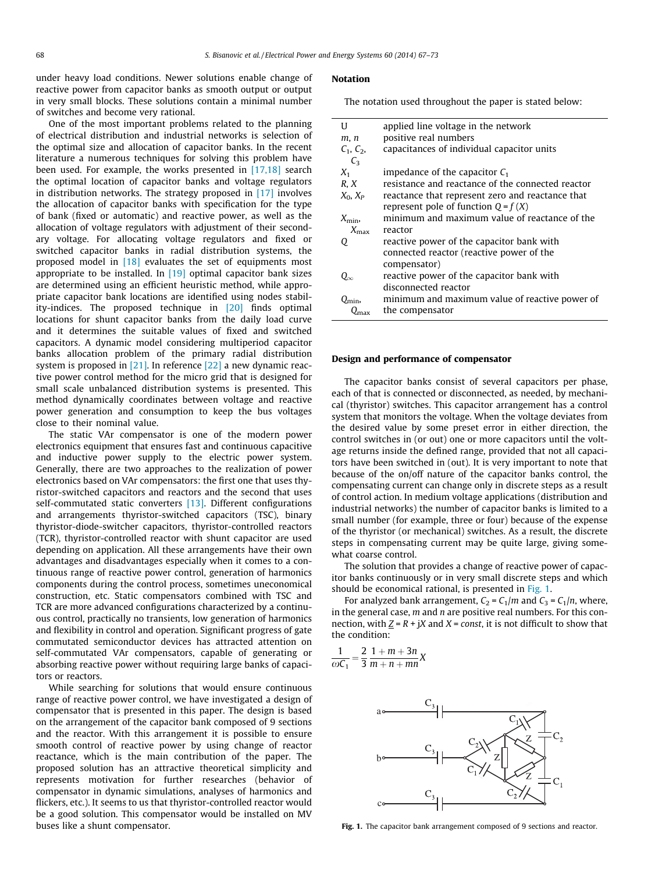under heavy load conditions. Newer solutions enable change of reactive power from capacitor banks as smooth output or output in very small blocks. These solutions contain a minimal number of switches and become very rational.

One of the most important problems related to the planning of electrical distribution and industrial networks is selection of the optimal size and allocation of capacitor banks. In the recent literature a numerous techniques for solving this problem have been used. For example, the works presented in [\[17,18\]](#page--1-0) search the optimal location of capacitor banks and voltage regulators in distribution networks. The strategy proposed in [\[17\]](#page--1-0) involves the allocation of capacitor banks with specification for the type of bank (fixed or automatic) and reactive power, as well as the allocation of voltage regulators with adjustment of their secondary voltage. For allocating voltage regulators and fixed or switched capacitor banks in radial distribution systems, the proposed model in [\[18\]](#page--1-0) evaluates the set of equipments most appropriate to be installed. In  $[19]$  optimal capacitor bank sizes are determined using an efficient heuristic method, while appropriate capacitor bank locations are identified using nodes stability-indices. The proposed technique in [\[20\]](#page--1-0) finds optimal locations for shunt capacitor banks from the daily load curve and it determines the suitable values of fixed and switched capacitors. A dynamic model considering multiperiod capacitor banks allocation problem of the primary radial distribution system is proposed in [\[21\].](#page--1-0) In reference [\[22\]](#page--1-0) a new dynamic reactive power control method for the micro grid that is designed for small scale unbalanced distribution systems is presented. This method dynamically coordinates between voltage and reactive power generation and consumption to keep the bus voltages close to their nominal value.

The static VAr compensator is one of the modern power electronics equipment that ensures fast and continuous capacitive and inductive power supply to the electric power system. Generally, there are two approaches to the realization of power electronics based on VAr compensators: the first one that uses thyristor-switched capacitors and reactors and the second that uses self-commutated static converters [\[13\].](#page--1-0) Different configurations and arrangements thyristor-switched capacitors (TSC), binary thyristor-diode-switcher capacitors, thyristor-controlled reactors (TCR), thyristor-controlled reactor with shunt capacitor are used depending on application. All these arrangements have their own advantages and disadvantages especially when it comes to a continuous range of reactive power control, generation of harmonics components during the control process, sometimes uneconomical construction, etc. Static compensators combined with TSC and TCR are more advanced configurations characterized by a continuous control, practically no transients, low generation of harmonics and flexibility in control and operation. Significant progress of gate commutated semiconductor devices has attracted attention on self-commutated VAr compensators, capable of generating or absorbing reactive power without requiring large banks of capacitors or reactors.

While searching for solutions that would ensure continuous range of reactive power control, we have investigated a design of compensator that is presented in this paper. The design is based on the arrangement of the capacitor bank composed of 9 sections and the reactor. With this arrangement it is possible to ensure smooth control of reactive power by using change of reactor reactance, which is the main contribution of the paper. The proposed solution has an attractive theoretical simplicity and represents motivation for further researches (behavior of compensator in dynamic simulations, analyses of harmonics and flickers, etc.). It seems to us that thyristor-controlled reactor would be a good solution. This compensator would be installed on MV buses like a shunt compensator.

### Notation

The notation used throughout the paper is stated below:

| U                  | applied line voltage in the network               |
|--------------------|---------------------------------------------------|
| m, n               | positive real numbers                             |
| $C_1, C_2,$        | capacitances of individual capacitor units        |
| $C_3$              |                                                   |
| $X_1$              | impedance of the capacitor $C_1$                  |
| R, X               | resistance and reactance of the connected reactor |
| $X_0, X_P$         | reactance that represent zero and reactance that  |
|                    | represent pole of function $Q = f(X)$             |
| $X_{\min}$         | minimum and maximum value of reactance of the     |
| $X_{\rm max}$      | reactor                                           |
| o                  | reactive power of the capacitor bank with         |
|                    | connected reactor (reactive power of the          |
|                    | compensator)                                      |
| $O_{\infty}$       | reactive power of the capacitor bank with         |
|                    | disconnected reactor                              |
| Q <sub>min</sub> , | minimum and maximum value of reactive power of    |
| $Q_{\rm max}$      | the compensator                                   |

#### Design and performance of compensator

The capacitor banks consist of several capacitors per phase, each of that is connected or disconnected, as needed, by mechanical (thyristor) switches. This capacitor arrangement has a control system that monitors the voltage. When the voltage deviates from the desired value by some preset error in either direction, the control switches in (or out) one or more capacitors until the voltage returns inside the defined range, provided that not all capacitors have been switched in (out). It is very important to note that because of the on/off nature of the capacitor banks control, the compensating current can change only in discrete steps as a result of control action. In medium voltage applications (distribution and industrial networks) the number of capacitor banks is limited to a small number (for example, three or four) because of the expense of the thyristor (or mechanical) switches. As a result, the discrete steps in compensating current may be quite large, giving somewhat coarse control.

The solution that provides a change of reactive power of capacitor banks continuously or in very small discrete steps and which should be economical rational, is presented in Fig. 1.

For analyzed bank arrangement,  $C_2 = C_1/m$  and  $C_3 = C_1/n$ , where, in the general case,  $m$  and  $n$  are positive real numbers. For this connection, with  $\underline{Z} = R + jX$  and  $X = const$ , it is not difficult to show that the condition:

$$
\frac{1}{\omega C_1} = \frac{2}{3} \frac{1 + m + 3n}{m + n + mn} X
$$



Fig. 1. The capacitor bank arrangement composed of 9 sections and reactor.